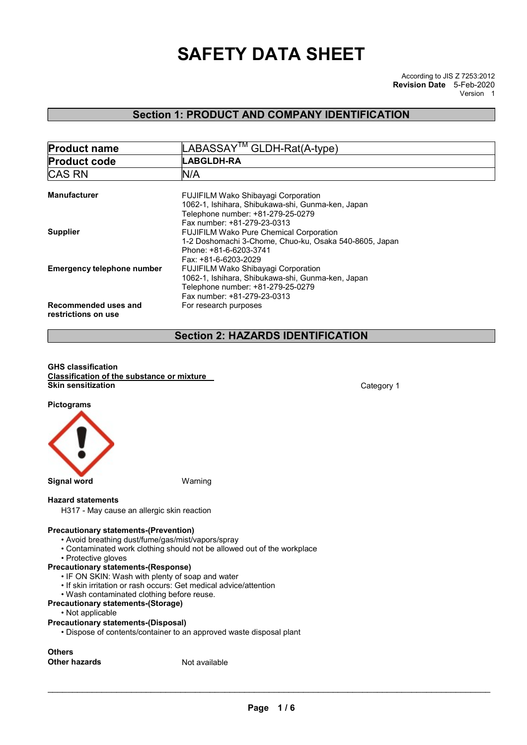# SAFETY DATA SHEET

# Section 1: PRODUCT AND COMPANY IDENTIFICATION

| <b>Product name</b>                         | LABASSAY <sup>™</sup> GLDH-Rat(A-type)                                                 |  |  |
|---------------------------------------------|----------------------------------------------------------------------------------------|--|--|
| <b>Product code</b>                         | <b>LABGLDH-RA</b>                                                                      |  |  |
| <b>CAS RN</b>                               | N/A                                                                                    |  |  |
| <b>Manufacturer</b>                         | <b>FUJIFILM Wako Shibayagi Corporation</b>                                             |  |  |
|                                             | 1062-1, Ishihara, Shibukawa-shi, Gunma-ken, Japan<br>Telephone number: +81-279-25-0279 |  |  |
|                                             | Fax number: +81-279-23-0313                                                            |  |  |
| <b>Supplier</b>                             | <b>FUJIFILM Wako Pure Chemical Corporation</b>                                         |  |  |
|                                             | 1-2 Doshomachi 3-Chome, Chuo-ku, Osaka 540-8605, Japan                                 |  |  |
|                                             | Phone: +81-6-6203-3741                                                                 |  |  |
|                                             | Fax: +81-6-6203-2029                                                                   |  |  |
| <b>Emergency telephone number</b>           | FUJIFILM Wako Shibayagi Corporation                                                    |  |  |
|                                             | 1062-1, Ishihara, Shibukawa-shi, Gunma-ken, Japan                                      |  |  |
|                                             | Telephone number: +81-279-25-0279                                                      |  |  |
|                                             | Fax number: +81-279-23-0313                                                            |  |  |
| Recommended uses and<br>restrictions on use | For research purposes                                                                  |  |  |

# Section 2: HAZARDS IDENTIFICATION

#### GHS classification Classification of the substance or mixture **Skin sensitization** Category 1



### Hazard statements

H317 - May cause an allergic skin reaction

### Precautionary statements-(Prevention)

- Avoid breathing dust/fume/gas/mist/vapors/spray
- Contaminated work clothing should not be allowed out of the workplace
- Protective gloves

## Precautionary statements-(Response)

- IF ON SKIN: Wash with plenty of soap and water
- If skin irritation or rash occurs: Get medical advice/attention
- Wash contaminated clothing before reuse.
- Precautionary statements-(Storage)
	- Not applicable

### Precautionary statements-(Disposal)

• Dispose of contents/container to an approved waste disposal plant

**Others** Other hazards Not available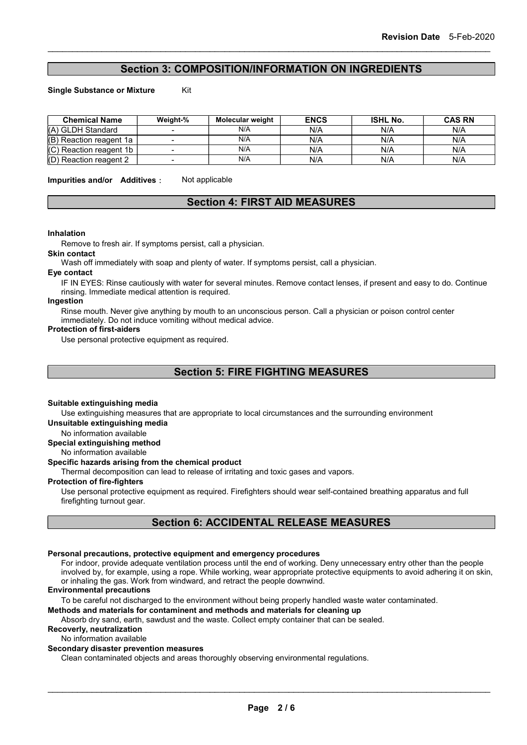# Section 3: COMPOSITION/INFORMATION ON INGREDIENTS

Single Substance or Mixture Kit

| <b>Chemical Name</b>      | Weight-% | Molecular weight | <b>ENCS</b> | <b>ISHL No.</b> | <b>CAS RN</b> |
|---------------------------|----------|------------------|-------------|-----------------|---------------|
| (A) GLDH Standard         |          | N/A              | N/A         | N/A             | N/A           |
| (B) Reaction reagent 1a   |          | N/A              | N/A         | N/A             | N/A           |
| $(C)$ Reaction reagent 1b |          | N/A              | N/A         | N/A             | N/A           |
| (D) Reaction reagent 2    |          | N/A              | N/A         | N/A             | N/A           |

Impurities and/or Additives: Not applicable

### Section 4: FIRST AID MEASURES

#### Inhalation

Remove to fresh air. If symptoms persist, call a physician.

#### Skin contact

Wash off immediately with soap and plenty of water. If symptoms persist, call a physician.

### Eye contact

IF IN EYES: Rinse cautiously with water for several minutes. Remove contact lenses, if present and easy to do. Continue rinsing. Immediate medical attention is required.

#### Ingestion

Rinse mouth. Never give anything by mouth to an unconscious person. Call a physician or poison control center immediately. Do not induce vomiting without medical advice.

#### Protection of first-aiders

Use personal protective equipment as required.

Section 5: FIRE FIGHTING MEASURES

### Suitable extinguishing media

Use extinguishing measures that are appropriate to local circumstances and the surrounding environment Unsuitable extinguishing media

No information available

### Special extinguishing method

No information available

### Specific hazards arising from the chemical product

Thermal decomposition can lead to release of irritating and toxic gases and vapors.

#### Protection of fire-fighters

Use personal protective equipment as required. Firefighters should wear self-contained breathing apparatus and full firefighting turnout gear.

# Section 6: ACCIDENTAL RELEASE MEASURES

### Personal precautions, protective equipment and emergency procedures

For indoor, provide adequate ventilation process until the end of working. Deny unnecessary entry other than the people involved by, for example, using a rope. While working, wear appropriate protective equipments to avoid adhering it on skin, or inhaling the gas. Work from windward, and retract the people downwind.

### Environmental precautions

To be careful not discharged to the environment without being properly handled waste water contaminated.

### Methods and materials for contaminent and methods and materials for cleaning up

Absorb dry sand, earth, sawdust and the waste. Collect empty container that can be sealed.

# Recoverly, neutralization

No information available

### Secondary disaster prevention measures

Clean contaminated objects and areas thoroughly observing environmental regulations.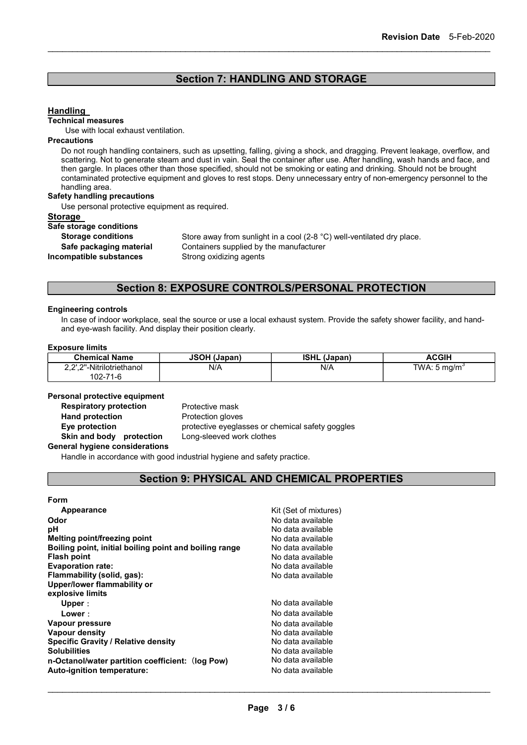# Section 7: HANDLING AND STORAGE

### **Handling**

#### Technical measures

Use with local exhaust ventilation.

### **Precautions**

Do not rough handling containers, such as upsetting, falling, giving a shock, and dragging. Prevent leakage, overflow, and scattering. Not to generate steam and dust in vain. Seal the container after use. After handling, wash hands and face, and then gargle. In places other than those specified, should not be smoking or eating and drinking. Should not be brought contaminated protective equipment and gloves to rest stops. Deny unnecessary entry of non-emergency personnel to the handling area.

### Safety handling precautions

Use personal protective equipment as required.

#### **Storage**

Safe storage conditions Incompatible substances Strong oxidizing agents

Storage conditions Store away from sunlight in a cool (2-8 °C) well-ventilated dry place. Safe packaging material Containers supplied by the manufacturer

# Section 8: EXPOSURE CONTROLS/PERSONAL PROTECTION

### Engineering controls

In case of indoor workplace, seal the source or use a local exhaust system. Provide the safety shower facility, and handand eye-wash facility. And display their position clearly.

### Exposure limits

| <b>Chemical Name</b>      | <b>JSOH (Japan)</b> | <b>ISHL (Japan)</b> | <b>ACGIH</b>            |
|---------------------------|---------------------|---------------------|-------------------------|
| 2.2'.2"-Nitrilotriethanol | N/A                 | N/A                 | TWA: $5 \text{ mg/m}^3$ |
| 102-71-6                  |                     |                     |                         |

### Personal protective equipment

**Respiratory protection** Protective mask Hand protection **Protection** Protection gloves Skin and body protection Long-sleeved work clothes General hygiene considerations

Eye protection **protective eyeglasses or chemical safety goggles** 

Handle in accordance with good industrial hygiene and safety practice.

# Section 9: PHYSICAL AND CHEMICAL PROPERTIES

### Form

| Appearance<br>Odor<br>рH<br>Melting point/freezing point<br>Boiling point, initial boiling point and boiling range<br><b>Flash point</b><br><b>Evaporation rate:</b><br>Flammability (solid, gas):<br>Upper/lower flammability or<br>explosive limits | Kit (Set of mixtures)<br>No data available<br>No data available<br>No data available<br>No data available<br>No data available<br>No data available<br>No data available |
|-------------------------------------------------------------------------------------------------------------------------------------------------------------------------------------------------------------------------------------------------------|--------------------------------------------------------------------------------------------------------------------------------------------------------------------------|
| Upper:                                                                                                                                                                                                                                                | No data available                                                                                                                                                        |
| Lower:                                                                                                                                                                                                                                                | No data available                                                                                                                                                        |
| Vapour pressure                                                                                                                                                                                                                                       | No data available                                                                                                                                                        |
| Vapour density                                                                                                                                                                                                                                        | No data available                                                                                                                                                        |
| <b>Specific Gravity / Relative density</b>                                                                                                                                                                                                            | No data available                                                                                                                                                        |
| <b>Solubilities</b>                                                                                                                                                                                                                                   | No data available                                                                                                                                                        |
| n-Octanol/water partition coefficient: (log Pow)                                                                                                                                                                                                      | No data available                                                                                                                                                        |
| Auto-ignition temperature:                                                                                                                                                                                                                            | No data available                                                                                                                                                        |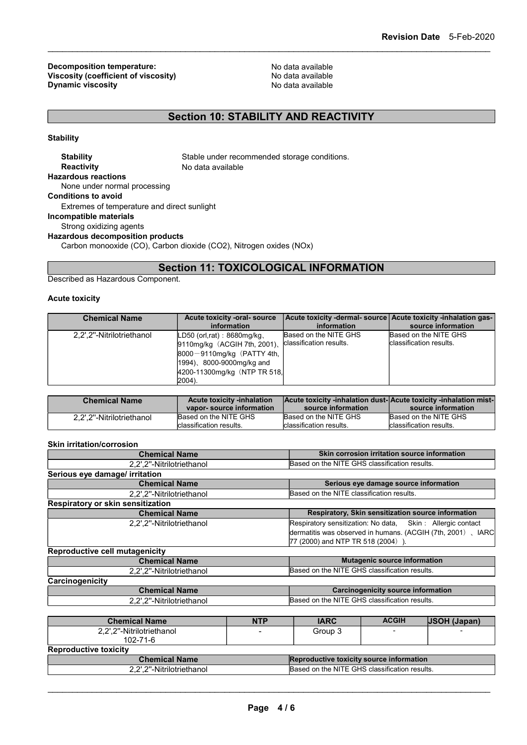Decomposition temperature:<br>
Viscosity (coefficient of viscosity) Modata available<br>
No data available Viscosity (coefficient of viscosity)<br>
Discosity<br>
Discosity<br>
No data available<br>
No data available Dynamic viscosity

# Section 10: STABILITY AND REACTIVITY

**Stability** 

Stability Stable under recommended storage conditions. Reactivity No data available Hazardous reactions None under normal processing Conditions to avoid Extremes of temperature and direct sunlight Incompatible materials Strong oxidizing agents Hazardous decomposition products Carbon monooxide (CO), Carbon dioxide (CO2), Nitrogen oxides (NOx)

Section 11: TOXICOLOGICAL INFORMATION

Described as Hazardous Component.

### Acute toxicity

| <b>Chemical Name</b>      | Acute toxicity -oral- source<br>information                                                                                                                                | Acute toxicity -dermal- source Acute toxicity -inhalation gas-<br>information | source information                               |
|---------------------------|----------------------------------------------------------------------------------------------------------------------------------------------------------------------------|-------------------------------------------------------------------------------|--------------------------------------------------|
| 2,2',2"-Nitrilotriethanol | $LD50$ (orl,rat): 8680mg/kg,<br>9110mg/kg (ACGIH 7th, 2001).<br>$8000 - 9110$ mg/kg (PATTY 4th,<br>$(1994)$ , 8000-9000mg/kg and<br>4200-11300mg/kg (NTP TR 518,<br>2004). | Based on the NITE GHS<br>classification results.                              | Based on the NITE GHS<br>classification results. |

| <b>Chemical Name</b>      | <b>Acute toxicity -inhalation</b><br>vapor-source information | source information                               | Acute toxicity -inhalation dust-Acute toxicity -inhalation mist-<br>source information |
|---------------------------|---------------------------------------------------------------|--------------------------------------------------|----------------------------------------------------------------------------------------|
| 2.2'.2"-Nitrilotriethanol | Based on the NITE GHS<br>classification results.              | Based on the NITE GHS<br>classification results. | Based on the NITE GHS<br>classification results.                                       |
|                           |                                                               |                                                  |                                                                                        |

### Skin irritation/corrosion

| <b>Chemical Name</b>                  |            | Skin corrosion irritation source information  |                                                                                                                                                                |                                                    |  |
|---------------------------------------|------------|-----------------------------------------------|----------------------------------------------------------------------------------------------------------------------------------------------------------------|----------------------------------------------------|--|
| 2,2',2"-Nitrilotriethanol             |            | Based on the NITE GHS classification results. |                                                                                                                                                                |                                                    |  |
| Serious eye damage/ irritation        |            |                                               |                                                                                                                                                                |                                                    |  |
| <b>Chemical Name</b>                  |            |                                               | Serious eye damage source information                                                                                                                          |                                                    |  |
| 2,2',2"-Nitrilotriethanol             |            | Based on the NITE classification results.     |                                                                                                                                                                |                                                    |  |
| Respiratory or skin sensitization     |            |                                               |                                                                                                                                                                |                                                    |  |
| <b>Chemical Name</b>                  |            |                                               |                                                                                                                                                                | Respiratory, Skin sensitization source information |  |
| 2,2',2"-Nitrilotriethanol             |            |                                               | Respiratory sensitization: No data, Skin: Allergic contact<br>dermatitis was observed in humans. (ACGIH (7th, 2001), IARC<br>77 (2000) and NTP TR 518 (2004)). |                                                    |  |
| Reproductive cell mutagenicity        |            |                                               |                                                                                                                                                                |                                                    |  |
| <b>Chemical Name</b>                  |            | <b>Mutagenic source information</b>           |                                                                                                                                                                |                                                    |  |
| 2,2',2"-Nitrilotriethanol             |            |                                               | Based on the NITE GHS classification results.                                                                                                                  |                                                    |  |
| Carcinogenicity                       |            |                                               |                                                                                                                                                                |                                                    |  |
| <b>Chemical Name</b>                  |            | <b>Carcinogenicity source information</b>     |                                                                                                                                                                |                                                    |  |
| 2,2',2"-Nitrilotriethanol             |            | Based on the NITE GHS classification results. |                                                                                                                                                                |                                                    |  |
|                                       |            |                                               |                                                                                                                                                                |                                                    |  |
| <b>Chemical Name</b>                  | <b>NTP</b> | <b>IARC</b>                                   | <b>ACGIH</b>                                                                                                                                                   | <b>JSOH (Japan)</b>                                |  |
| 2,2',2"-Nitrilotriethanol<br>102-71-6 |            | Group 3                                       |                                                                                                                                                                |                                                    |  |
| <b>Reproductive toxicity</b>          |            |                                               |                                                                                                                                                                |                                                    |  |
| <b>Chemical Name</b>                  |            | Reproductive toxicity source information      |                                                                                                                                                                |                                                    |  |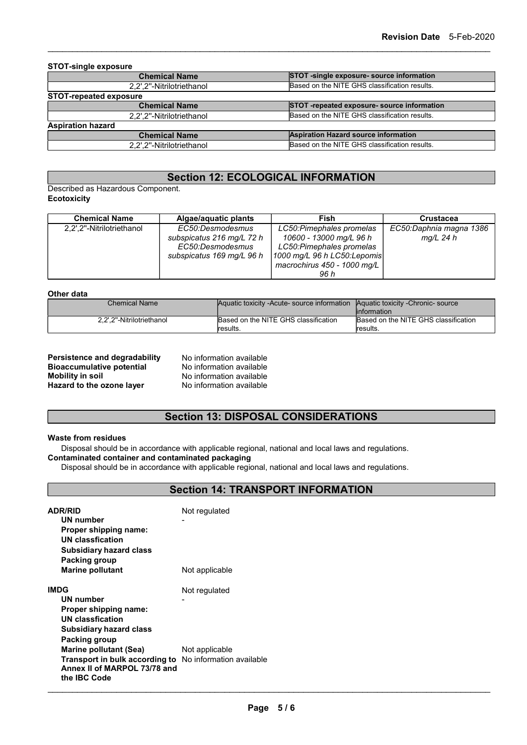| <b>STOT-single exposure</b>   |                                               |
|-------------------------------|-----------------------------------------------|
| <b>Chemical Name</b>          | STOT -single exposure- source information     |
| 2.2'.2"-Nitrilotriethanol     | Based on the NITE GHS classification results. |
| <b>STOT-repeated exposure</b> |                                               |
| <b>Chemical Name</b>          | STOT -repeated exposure- source information   |
| 2.2'.2"-Nitrilotriethanol     | Based on the NITE GHS classification results. |
| <b>Aspiration hazard</b>      |                                               |
| <b>Chemical Name</b>          | <b>Aspiration Hazard source information</b>   |
| 2.2'.2"-Nitrilotriethanol     | Based on the NITE GHS classification results. |

# Section 12: ECOLOGICAL INFORMATION

Described as Hazardous Component. **Ecotoxicity** 

| <b>Chemical Name</b>      | Algae/aguatic plants      | Fish                        | <b>Crustacea</b>        |
|---------------------------|---------------------------|-----------------------------|-------------------------|
| 2,2',2"-Nitrilotriethanol | EC50:Desmodesmus          | LC50: Pimephales promelas   | EC50:Daphnia magna 1386 |
|                           | subspicatus 216 mg/L 72 h | 10600 - 13000 mg/L 96 h     | $mq/L$ 24 h             |
|                           | EC50:Desmodesmus          | LC50: Pimephales promelas   |                         |
|                           | subspicatus 169 mg/L 96 h | 1000 mg/L 96 h LC50:Lepomis |                         |
|                           |                           | macrochirus 450 - 1000 mg/L |                         |
|                           |                           | 96 h                        |                         |

### Other data

| Chemical Name             | Aquatic toxicity - Acute- source information | <b>Aquatic toxicity - Chronic- source</b> |
|---------------------------|----------------------------------------------|-------------------------------------------|
|                           |                                              | linformation                              |
| 2.2".2"-Nitrilotriethanol | Based on the NITE GHS classification         | Based on the NITE GHS classification      |
|                           | lresults.                                    | results.                                  |

| Persistence and degradability    | No information available |
|----------------------------------|--------------------------|
| <b>Bioaccumulative potential</b> | No information available |
| <b>Mobility in soil</b>          | No information available |
| Hazard to the ozone layer        | No information available |

# Section 13: DISPOSAL CONSIDERATIONS

### Waste from residues

Disposal should be in accordance with applicable regional, national and local laws and regulations.

### Contaminated container and contaminated packaging

Disposal should be in accordance with applicable regional, national and local laws and regulations.

# Section 14: TRANSPORT INFORMATION

| <b>ADR/RID</b><br>UN number<br>Proper shipping name:<br><b>UN classfication</b><br><b>Subsidiary hazard class</b>     | Not regulated  |
|-----------------------------------------------------------------------------------------------------------------------|----------------|
| Packing group<br><b>Marine pollutant</b>                                                                              | Not applicable |
| <b>IMDG</b>                                                                                                           | Not regulated  |
| UN number                                                                                                             |                |
| Proper shipping name:                                                                                                 |                |
| <b>UN classfication</b>                                                                                               |                |
| <b>Subsidiary hazard class</b>                                                                                        |                |
| Packing group                                                                                                         |                |
| <b>Marine pollutant (Sea)</b>                                                                                         | Not applicable |
| <b>Transport in bulk according to</b> No information available<br>Annex II of MARPOL 73/78 and<br>the <b>IBC</b> Code |                |